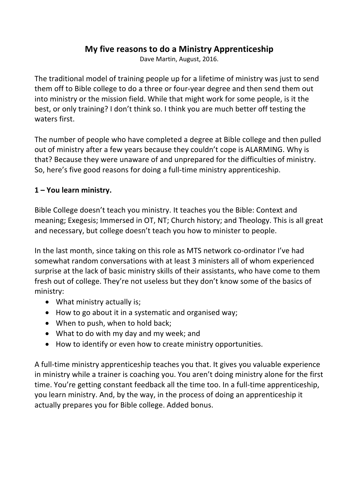# **My five reasons to do a Ministry Apprenticeship**

Dave Martin, August, 2016.

The traditional model of training people up for a lifetime of ministry was just to send them off to Bible college to do a three or four-year degree and then send them out into ministry or the mission field. While that might work for some people, is it the best, or only training? I don't think so. I think you are much better off testing the waters first.

The number of people who have completed a degree at Bible college and then pulled out of ministry after a few years because they couldn't cope is ALARMING. Why is that? Because they were unaware of and unprepared for the difficulties of ministry. So, here's five good reasons for doing a full-time ministry apprenticeship.

#### 1 – You learn ministry.

Bible College doesn't teach you ministry. It teaches you the Bible: Context and meaning; Exegesis; Immersed in OT, NT; Church history; and Theology. This is all great and necessary, but college doesn't teach you how to minister to people.

In the last month, since taking on this role as MTS network co-ordinator I've had somewhat random conversations with at least 3 ministers all of whom experienced surprise at the lack of basic ministry skills of their assistants, who have come to them fresh out of college. They're not useless but they don't know some of the basics of ministry:

- $\bullet$  What ministry actually is;
- How to go about it in a systematic and organised way;
- When to push, when to hold back;
- What to do with my day and my week; and
- How to identify or even how to create ministry opportunities.

A full-time ministry apprenticeship teaches you that. It gives you valuable experience in ministry while a trainer is coaching you. You aren't doing ministry alone for the first time. You're getting constant feedback all the time too. In a full-time apprenticeship, you learn ministry. And, by the way, in the process of doing an apprenticeship it actually prepares you for Bible college. Added bonus.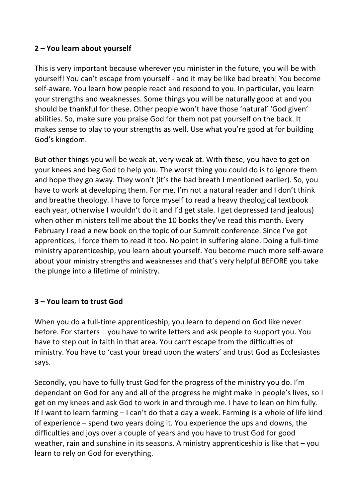## **2 – You learn about yourself**

This is very important because wherever you minister in the future, you will be with yourself! You can't escape from yourself - and it may be like bad breath! You become self-aware. You learn how people react and respond to you. In particular, you learn your strengths and weaknesses. Some things you will be naturally good at and you should be thankful for these. Other people won't have those 'natural' 'God given' abilities. So, make sure you praise God for them not pat yourself on the back. It makes sense to play to your strengths as well. Use what you're good at for building God's kingdom.

But other things you will be weak at, very weak at. With these, you have to get on your knees and beg God to help you. The worst thing you could do is to ignore them and hope they go away. They won't (it's the bad breath I mentioned earlier). So, you have to work at developing them. For me, I'm not a natural reader and I don't think and breathe theology. I have to force myself to read a heavy theological textbook each year, otherwise I wouldn't do it and I'd get stale. I get depressed (and jealous) when other ministers tell me about the 10 books they've read this month. Every February I read a new book on the topic of our Summit conference. Since I've got apprentices, I force them to read it too. No point in suffering alone. Doing a full-time ministry apprenticeship, you learn about yourself. You become much more self-aware about your ministry strengths and weaknesses and that's very helpful BEFORE you take the plunge into a lifetime of ministry.

## **3 – You learn to trust God**

When you do a full-time apprenticeship, you learn to depend on God like never before. For starters – you have to write letters and ask people to support you. You have to step out in faith in that area. You can't escape from the difficulties of ministry. You have to 'cast your bread upon the waters' and trust God as Ecclesiastes says.

Secondly, you have to fully trust God for the progress of the ministry you do. I'm dependant on God for any and all of the progress he might make in people's lives, so I get on my knees and ask God to work in and through me. I have to lean on him fully. If I want to learn farming  $-1$  can't do that a day a week. Farming is a whole of life kind of experience  $-$  spend two years doing it. You experience the ups and downs, the difficulties and joys over a couple of years and you have to trust God for good weather, rain and sunshine in its seasons. A ministry apprenticeship is like that  $-$  you learn to rely on God for everything.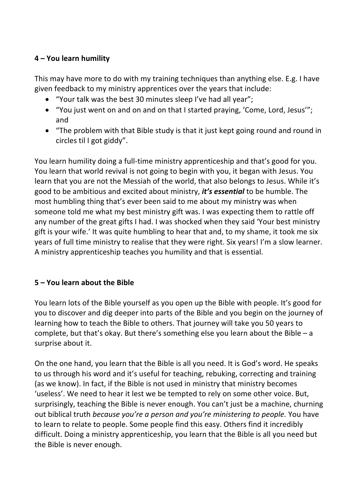## **4 – You learn humility**

This may have more to do with my training techniques than anything else. E.g. I have given feedback to my ministry apprentices over the years that include:

- "Your talk was the best 30 minutes sleep I've had all year";
- "You just went on and on and on that I started praying, 'Come, Lord, Jesus'"; and
- "The problem with that Bible study is that it just kept going round and round in circles til I got giddy".

You learn humility doing a full-time ministry apprenticeship and that's good for you. You learn that world revival is not going to begin with you, it began with Jesus. You learn that you are not the Messiah of the world, that also belongs to Jesus. While it's good to be ambitious and excited about ministry, *it's essential* to be humble. The most humbling thing that's ever been said to me about my ministry was when someone told me what my best ministry gift was. I was expecting them to rattle off any number of the great gifts I had. I was shocked when they said 'Your best ministry gift is your wife.' It was quite humbling to hear that and, to my shame, it took me six years of full time ministry to realise that they were right. Six years! I'm a slow learner. A ministry apprenticeship teaches you humility and that is essential.

## **5 – You learn about the Bible**

You learn lots of the Bible yourself as you open up the Bible with people. It's good for you to discover and dig deeper into parts of the Bible and you begin on the journey of learning how to teach the Bible to others. That journey will take you 50 years to complete, but that's okay. But there's something else you learn about the Bible  $- a$ surprise about it.

On the one hand, you learn that the Bible is all you need. It is God's word. He speaks to us through his word and it's useful for teaching, rebuking, correcting and training (as we know). In fact, if the Bible is not used in ministry that ministry becomes 'useless'. We need to hear it lest we be tempted to rely on some other voice. But, surprisingly, teaching the Bible is never enough. You can't just be a machine, churning out biblical truth *because you're a person and you're ministering to people*. You have to learn to relate to people. Some people find this easy. Others find it incredibly difficult. Doing a ministry apprenticeship, you learn that the Bible is all you need but the Bible is never enough.